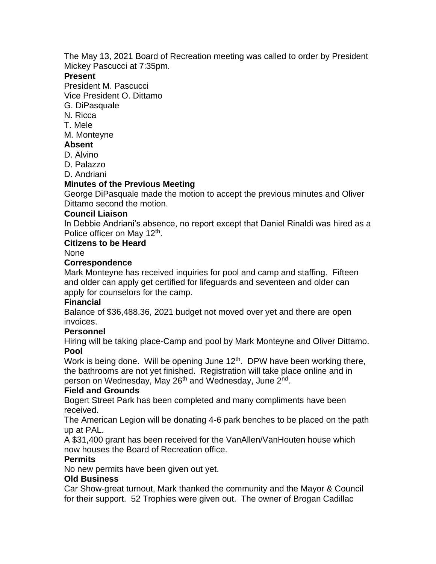The May 13, 2021 Board of Recreation meeting was called to order by President Mickey Pascucci at 7:35pm.

## **Present**

President M. Pascucci

Vice President O. Dittamo

- G. DiPasquale
- N. Ricca
- T. Mele
- M. Monteyne

# **Absent**

- D. Alvino
- D. Palazzo

D. Andriani

# **Minutes of the Previous Meeting**

George DiPasquale made the motion to accept the previous minutes and Oliver Dittamo second the motion.

#### **Council Liaison**

In Debbie Andriani's absence, no report except that Daniel Rinaldi was hired as a Police officer on May 12<sup>th</sup>.

#### **Citizens to be Heard**

None

#### **Correspondence**

Mark Monteyne has received inquiries for pool and camp and staffing. Fifteen and older can apply get certified for lifeguards and seventeen and older can apply for counselors for the camp.

## **Financial**

Balance of \$36,488.36, 2021 budget not moved over yet and there are open invoices.

## **Personnel**

Hiring will be taking place-Camp and pool by Mark Monteyne and Oliver Dittamo. **Pool**

Work is being done. Will be opening June 12<sup>th</sup>. DPW have been working there, the bathrooms are not yet finished. Registration will take place online and in person on Wednesday, May 26<sup>th</sup> and Wednesday, June 2<sup>nd</sup>.

## **Field and Grounds**

Bogert Street Park has been completed and many compliments have been received.

The American Legion will be donating 4-6 park benches to be placed on the path up at PAL.

A \$31,400 grant has been received for the VanAllen/VanHouten house which now houses the Board of Recreation office.

## **Permits**

No new permits have been given out yet.

## **Old Business**

Car Show-great turnout, Mark thanked the community and the Mayor & Council for their support. 52 Trophies were given out. The owner of Brogan Cadillac